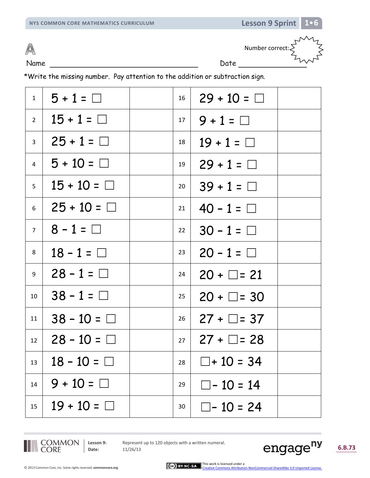

Name Date Date Number correct: $\sum$ 

\*Write the missing number. Pay attention to the addition or subtraction sign.

| 1                | $5 + 1 = \Box$   | 16        | $29 + 10 = \Box$    |
|------------------|------------------|-----------|---------------------|
| $2^{\circ}$      | $15 + 1 = \Box$  | 17        | $9 + 1 = \Box$      |
| $\overline{3}$   | $25 + 1 = \Box$  | 18        | $19 + 1 = \Box$     |
| $\overline{4}$   | $5 + 10 = \Box$  | 19        | $29 + 1 = \Box$     |
| 5 <sup>7</sup>   | $15 + 10 = \Box$ | 20        | $39 + 1 = \Box$     |
| 6                | $25 + 10 = \Box$ | 21        | $40 - 1 = \Box$     |
| 7 <sup>7</sup>   | $8 - 1 = \Box$   | 22        | $30 - 1 = \Box$     |
| 8                | $18 - 1 = \Box$  | 23        | $20 - 1 = \Box$     |
| 9                | $28 - 1 = \Box$  | 24        | $20 + \Box = 21$    |
| 10 <sup>°</sup>  | $38 - 1 = \Box$  | 25        | $20 + \Box = 30$    |
| 11               | $38 - 10 = \Box$ | 26        | $27 + \Box = 37$    |
| 12 <sup>12</sup> | $28 - 10 = \Box$ | $27 \mid$ | $27 + \square = 28$ |
| 13               | $18 - 10 = \Box$ | 28        | $\Box$ + 10 = 34    |
| 14               | $9 + 10 = \Box$  | 29        | $\Box$ - 10 = 14    |
| 15               | $19 + 10 = \Box$ | 30        | $\Box$ - 10 = 24    |

COMMON<br>CORE

Lesson 9: Represent up to 120 objects with a written numeral.

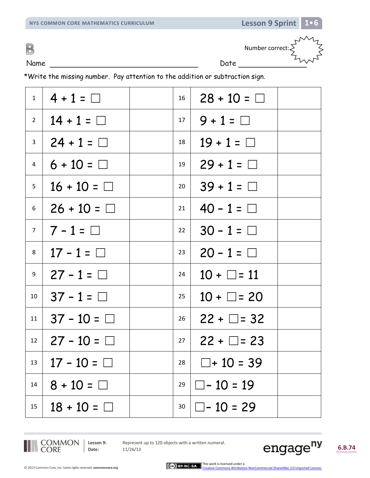B

Name Date Date Number correct: $\sum$ 

\*Write the missing number. Pay attention to the addition or subtraction sign.

| $1 \mid$        | $4 + 1 = \Box$     | 16        | $28 + 10 = \Box$    |  |
|-----------------|--------------------|-----------|---------------------|--|
| 2 <sup>1</sup>  | $14 + 1 = \Box$    | $17 \mid$ | $9 + 1 = \Box$      |  |
| 3 <sup>7</sup>  | $24 + 1 = \Box$    | 18        | $19 + 1 = \Box$     |  |
| 4               | $6 + 10 = \Box$    | 19        | $29 + 1 = \Box$     |  |
| 5 <sub>5</sub>  | $16 + 10 = \Box$   | 20        | $39 + 1 = \Box$     |  |
| $6 \mid$        | $26 + 10 = \Box$   | 21        | $40 - 1 = \Box$     |  |
|                 | $7   7 - 1 = \Box$ | 22        | $30 - 1 = \Box$     |  |
| 8               | $17 - 1 = \Box$    | 23        | $20 - 1 = \Box$     |  |
| 9               | $27 - 1 = \Box$    | 24        | $10 + \Box = 11$    |  |
| 10 <sup>°</sup> | $37 - 1 = \Box$    | 25        | $10 + \Box = 20$    |  |
| 11              | $37 - 10 = \Box$   | 26        | $22 + \square = 32$ |  |
| 12 <sup>7</sup> | $27 - 10 = \Box$   | 27        | $22 + \square = 23$ |  |
| 13              | $17 - 10 = \Box$   | 28        | $\Box$ + 10 = 39    |  |
| 14              | $8 + 10 = \Box$    | 29        | $\Box$ - 10 = 19    |  |
| 15              | $18 + 10 = \Box$   | 30        | $\Box$ - 10 = 29    |  |

COMMON<br>CORE

Lesson 9: Represent up to 120 objects with a written numeral.

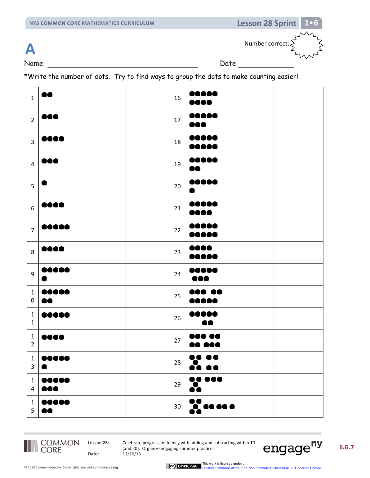

Name Date

\*Write the number of dots. Try to find ways to group the dots to make counting easier!

| $\mathbf 1$                    | ١O                                                                                                    | 16 | 00000                                                     |  |
|--------------------------------|-------------------------------------------------------------------------------------------------------|----|-----------------------------------------------------------|--|
| $\overline{2}$                 | $\bullet\bullet\bullet$                                                                               | 17 | 00000<br>000                                              |  |
| $\overline{\mathbf{3}}$        | 0000                                                                                                  | 18 | ,,,,,<br>                                                 |  |
| $\overline{4}$                 | $\bullet\bullet\bullet$                                                                               | 19 | ,,,,,<br>88                                               |  |
| 5                              |                                                                                                       | 20 | ,,,,                                                      |  |
| $\boldsymbol{6}$               | 0000                                                                                                  | 21 | Ю<br>                                                     |  |
| $\overline{7}$                 | ,,,,,                                                                                                 | 22 | Ю<br>œ<br>JOOC                                            |  |
| 8                              | 0000                                                                                                  | 23 | 1000<br>Ю<br>JOO!                                         |  |
| 9                              | 00000                                                                                                 | 24 | Ю<br>юк<br>æ                                              |  |
| $\mathbf 1$<br>$\pmb{0}$       | <br>$\bullet\bullet$                                                                                  | 25 |                                                           |  |
| $\mathbf{1}$<br>$\mathbf{1}$   |                                                                                                       | 26 | O                                                         |  |
| $\mathbf{1}$<br>$\overline{2}$ | eeco                                                                                                  | 27 |                                                           |  |
| $1 \mid$<br>$\mathbf{3}$       | 68888<br>$\bullet$                                                                                    | 28 | ,,<br>. .<br>$\ddot{\bullet}$ $\bullet$                   |  |
| $\mathbf{1}$<br>$\overline{4}$ | $\begin{array}{cc} \bullet\bullet\bullet\bullet\bullet\bullet \end{array}$<br>$\bullet\bullet\bullet$ | 29 | $\bullet\bullet\bullet\bullet\bullet$<br>$\ddot{\bullet}$ |  |
| $\mathbf{1}$<br>5 <sup>1</sup> | $\bullet\bullet\bullet\bullet\bullet$<br>$\bullet\bullet$                                             | 30 | $\frac{1}{20}$ as as a                                    |  |

COMMON<br>CORE

**Lesson 28:** Celebrate progress in fluency with adding and subtracting within 10 (and 20). Organize engaging summer practice. **Date:** 11/26/13